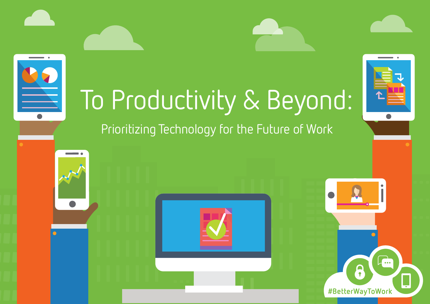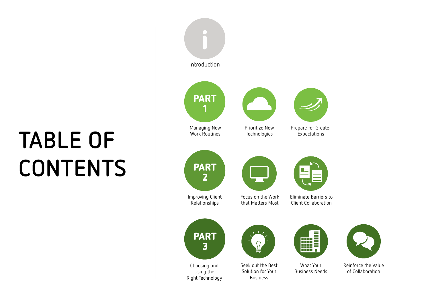# **CONTENTS**





Reinforce the Value of Collaboration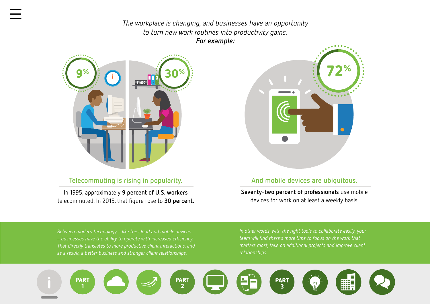*The workplace is changing, and businesses have an opportunity to turn new work routines into productivity gains. For example:*

<span id="page-2-0"></span>

#### **Telecommuting is rising in popularity.**

In 1995, approximately **[9 percent of U.S. workers](http://www.gallup.com/poll/184649/telecommuting-work-climbs.aspx)**  telecommuted. In 2015, that figure rose to **30 percent.**



#### **And mobile devices are ubiquitous.**

**[Seventy-two percent of professionals](https://www.business.att.com/content/whitepaper/forrester-profile-smb-employee-collaboration-tools.pdf)** use mobile devices for work on at least a weekly basis.

*Between modern technology* – *like the cloud and mobile devices*  – *businesses have the ability to operate with increased efficiency. That directly translates to more productive client interactions, and as a result, a better business and stronger client relationships.*

*In other words, with the right tools to collaborate easily, your matters most, take on additional projects and improve client relationships.*

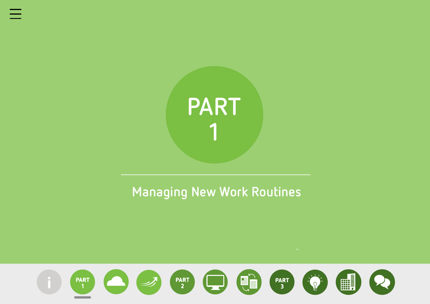<span id="page-3-0"></span>

## **Managing New Work Routines**

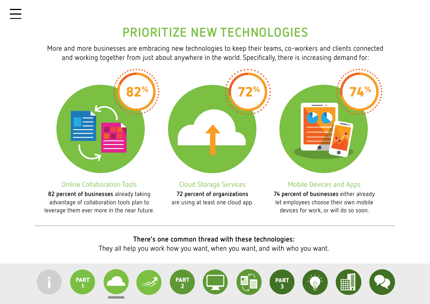## **PRIORITIZE NEW TECHNOLOGIES**

<span id="page-4-0"></span>More and more businesses are embracing new technologies to keep their teams, co-workers and clients connected and working together from just about anywhere in the world. Specifically, there is increasing demand for:



#### Online Collaboration Tools

**[82 percent of businesses](https://www.accenture.com/us-en/insight-outlook-how-collaboration-technologies-are-improving-process-workforce-business)** already taking advantage of collaboration tools plan to leverage them ever more in the near future.



Cloud Storage Services **[72 percent of organizations](http://www.idgenterprise.com/resource/research/2015-cloud-computing-study/)**  are using at least one cloud app.



#### Mobile Devices and Apps

**[74 percent of businesses](http://www.idgenterprise.com/resource/research/2015-cloud-computing-study/)** either already let employees choose their own mobile devices for work, or will do so soon.

#### **There's one common thread with these technologies:**

They all help you work how you want, when you want, and with who you want.

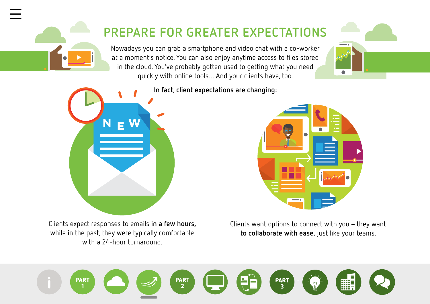## **PREPARE FOR GREATER EXPECTATIONS**

Nowadays you can grab a smartphone and video chat with a co-worker at a moment's notice. You can also enjoy anytime access to files stored in the cloud. You've probably gotten used to getting what you need quickly with online tools… And your clients have, too.





**[In fact, client expectations are changing:](http://www.icmi.com/Resources/Customer-Experience/2015/10/Ten-Customer-Expectations-and-How-They-Are-Changing)**

Clients expect responses to emails **in a few hours,**  while in the past, they were typically comfortable with a 24-hour turnaround.



Clients want options to connect with you – they want **to collaborate with ease,** just like your teams.

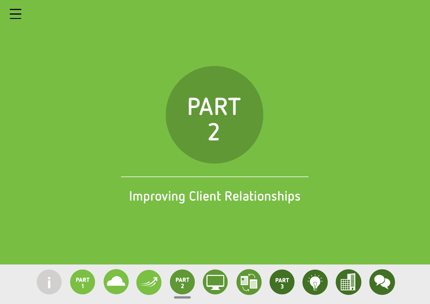<span id="page-6-0"></span>

## **Improving Client Relationships**

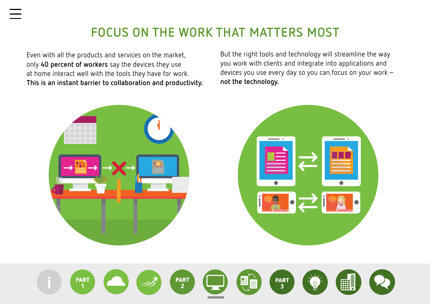## **FOCUS ON THE WORK THAT MATTERS MOST**

Even with all the products and services on the market, only **40 percent of workers** say the devices they use at home interact well with the tools they have for work. **This is an instant barrier to collaboration and productivity.** 

But the right tools and technology will streamline the way you work with clients and integrate into applications and devices you use every day so you can focus on your work – **not the technology.** 

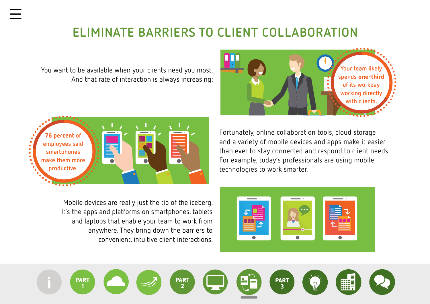## **ELIMINATE BARRIERS TO CLIENT COLLABORATION**

You want to be available when your clients need you most. And that rate of interaction is always increasing:





Mobile devices are really just the tip of the iceberg. It's the apps and platforms on smartphones, tablets and laptops that enable your team to work from anywhere. They bring down the barriers to convenient, intuitive client interactions. Fortunately, online collaboration tools, cloud storage and a variety of mobile devices and apps make it easier than ever to stay connected and respond to client needs. For example, today's professionals are using mobile technologies to work smarter.



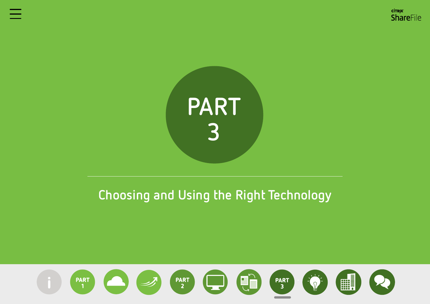

## **Choosing and Using the Right Technology**

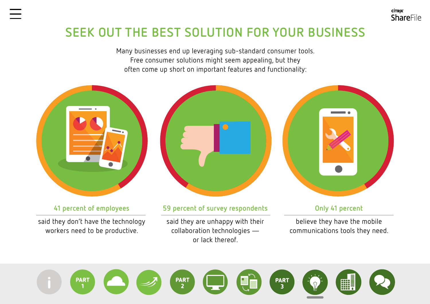## **SEEK OUT THE BEST SOLUTION FOR YOUR BUSINESS**

Many businesses end up leveraging sub-standard consumer tools. Free consumer solutions might seem appealing, but they often come up short on important features and functionality:



#### **[41 percent of employees](http://h20435.www2.hp.com/t5/367-Addison-Avenue-Blog/HP-Survey-Identifies-Top-Technology-Concerns-of-SMBs/ba-p/100292#.V9AZPJgrIuW)**

said they don't have the technology workers need to be productive.



#### **59 percent of survey respondents**

said they are unhappy with their collaboration technologies or lack thereof.



**CİTRIX** 

ShareFile

#### **Only 41 percent**

believe they have the mobile communications tools they need.

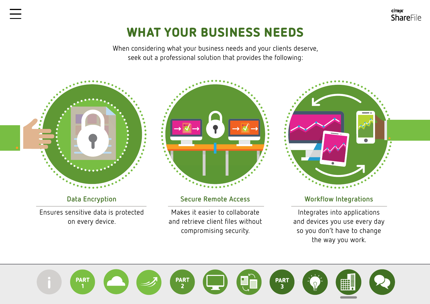## WHAT YOUR BUSINESS NEEDS

When considering what your business needs and your clients deserve, seek out a professional solution that provides the following:



**Data Encryption**

Ensures sensitive data is protected on every device.



#### **Secure Remote Access**

Makes it easier to collaborate and retrieve client files without compromising security.



**CİTRIX** 

**ShareFile** 

#### **Workflow Integrations**

Integrates into applications and devices you use every day so you don't have to change the way you work.

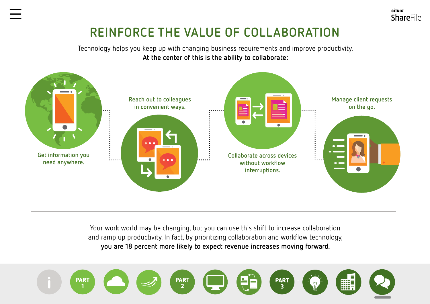## **REINFORCE THE VALUE OF COLLABORATION**

**CİTRIX** 

ShareFile

Technology helps you keep up with changing business requirements and improve productivity. **At the center of this is the ability to collaborate:**



Your work world may be changing, but you can use this shift to increase collaboration and ramp up productivity. In fact, by prioritizing collaboration and workflow technology, **[you are 18 percent more likely to expect revenue increases moving forward.](http://www.smb-gr.com/wp-content/uploads/2015/12/12-4-15-FINAL-2016-top-10-12-8-15.pdf)**